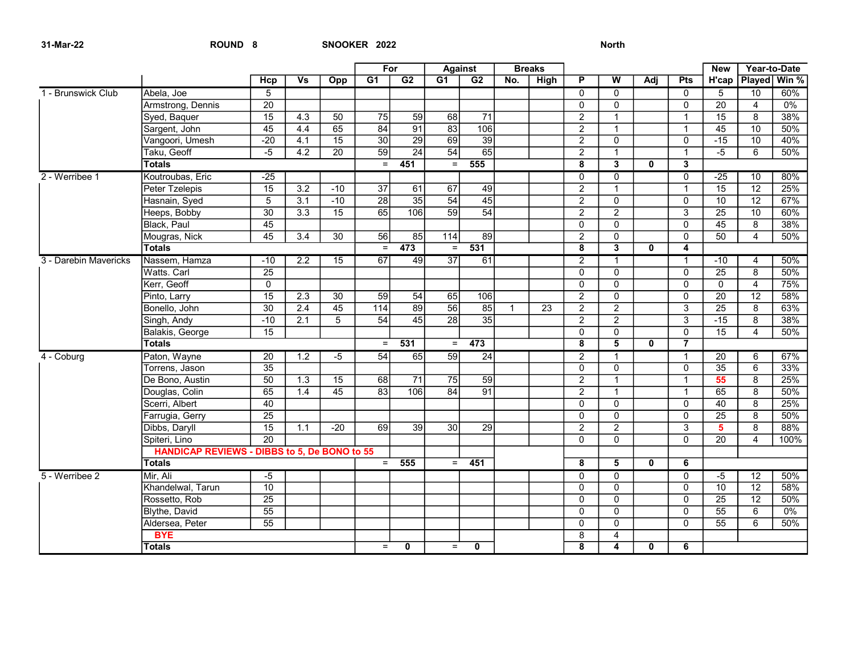|                       |                                                     |                 |                  |                 |                   | For<br>Against  |                   | <b>Breaks</b>    |              |                 |                         |                           | <b>New</b>   | Year-to-Date   |                 |                       |                    |
|-----------------------|-----------------------------------------------------|-----------------|------------------|-----------------|-------------------|-----------------|-------------------|------------------|--------------|-----------------|-------------------------|---------------------------|--------------|----------------|-----------------|-----------------------|--------------------|
|                       |                                                     | <b>Hcp</b>      | <b>Vs</b>        | Opp             | G1                | G2              | G1                | G2               | No.          | <b>High</b>     | P                       | W                         | Adj          | Pts            |                 |                       | H'cap Played Win % |
| 1 - Brunswick Club    | Abela, Joe                                          | $\overline{5}$  |                  |                 |                   |                 |                   |                  |              |                 | $\overline{0}$          | $\overline{0}$            |              | $\overline{0}$ | $\overline{5}$  | 10                    | 60%                |
|                       | Armstrong, Dennis                                   | $\overline{20}$ |                  |                 |                   |                 |                   |                  |              |                 | $\Omega$                | $\mathbf 0$               |              | $\Omega$       | $\overline{20}$ | $\overline{4}$        | 0%                 |
|                       | Syed, Baquer                                        | $\overline{15}$ | 4.3              | 50              | 75                | 59              | 68                | $\overline{71}$  |              |                 | $\overline{2}$          | $\mathbf{1}$              |              | $\mathbf{1}$   | 15              | 8                     | 38%                |
|                       | Sargent, John                                       | $\overline{45}$ | 4.4              | 65              | 84                | $\overline{91}$ | $\overline{83}$   | 106              |              |                 | $\overline{2}$          | $\mathbf{1}$              |              | $\mathbf 1$    | 45              | 10                    | 50%                |
|                       | Vangoori, Umesh                                     | $-20$           | 4.1              | $\overline{15}$ | 30                | 29              | 69                | $\overline{39}$  |              |                 | $\overline{2}$          | $\pmb{0}$                 |              | $\Omega$       | $-15$           | $\overline{10}$       | 40%                |
|                       | Taku, Geoff                                         | -5              | 4.2              | 20              | 59                | 24              | 54                | 65               |              |                 | $\overline{2}$          | $\mathbf{1}$              |              | $\overline{1}$ | $-5$            | 6                     | 50%                |
|                       | <b>Totals</b>                                       |                 |                  |                 | $=$               | 451             | $=$               | 555              |              |                 | $\overline{8}$          | $\overline{\mathbf{3}}$   | 0            | $\overline{3}$ |                 |                       |                    |
| 2 - Werribee 1        | Koutroubas, Eric                                    | $-25$           |                  |                 |                   |                 |                   |                  |              |                 | $\Omega$                | $\mathbf 0$               |              | $\mathbf 0$    | $-25$           | 10                    | 80%                |
|                       | Peter Tzelepis                                      | $\overline{15}$ | 3.2              | $-10$           | $\overline{37}$   | 61              | 67                | 49               |              |                 | $\overline{2}$          | $\mathbf{1}$              |              | 1              | 15              | $\overline{12}$       | 25%                |
|                       | Hasnain, Syed                                       | $\overline{5}$  | $\overline{3.1}$ | $-10$           | $\overline{28}$   | $\overline{35}$ | 54                | 45               |              |                 | $\overline{2}$          | $\overline{0}$            |              | $\mathbf 0$    | 10              | $\overline{12}$       | 67%                |
|                       | Heeps, Bobby                                        | $\overline{30}$ | 3.3              | $\overline{15}$ | 65                | 106             | 59                | $\overline{54}$  |              |                 | $\overline{2}$          | $\overline{2}$            |              | $\overline{3}$ | $\overline{25}$ | $\overline{10}$       | 60%                |
|                       | Black, Paul                                         | 45              |                  |                 |                   |                 |                   |                  |              |                 | $\mathbf 0$             | $\mathsf 0$               |              | $\mathbf 0$    | 45              | $\overline{8}$        | 38%                |
|                       | Mougras, Nick                                       | 45              | $\overline{3.4}$ | 30              | 56                | 85              | $\frac{114}{114}$ | 89               |              |                 | $\overline{c}$          | $\mathbf 0$               |              | $\Omega$       | 50              | 4                     | 50%                |
|                       | <b>Totals</b>                                       |                 |                  |                 | $\equiv$          | 473             | $=$               | $\overline{531}$ |              |                 | 8                       | $\overline{\mathbf{3}}$   | $\mathbf{0}$ | 4              |                 |                       |                    |
| 3 - Darebin Mavericks | Nassem, Hamza                                       | $-10$           | 2.2              | 15              | 67                | 49              | 37                | 61               |              |                 | $\overline{2}$          | $\mathbf{1}$              |              | 1              | $-10$           | 4                     | 50%                |
|                       | Watts. Carl                                         | 25              |                  |                 |                   |                 |                   |                  |              |                 | $\mathbf{0}$            | $\mathbf 0$               |              | $\mathbf{0}$   | 25              | 8                     | 50%                |
|                       | Kerr, Geoff                                         | $\overline{0}$  |                  |                 |                   |                 |                   |                  |              |                 | $\overline{0}$          | $\overline{0}$            |              | $\overline{0}$ | $\overline{0}$  | $\overline{4}$        | 75%                |
|                       | Pinto, Larry                                        | $\overline{15}$ | 2.3              | 30              | 59                | 54              | 65                | 106              |              |                 | 2                       | $\overline{0}$            |              | $\Omega$       | $\overline{20}$ | $\overline{12}$       | 58%                |
|                       | Bonello, John                                       | $\overline{30}$ | 2.4              | 45              | $\frac{114}{114}$ | 89              | 56                | 85               | $\mathbf{1}$ | $\overline{23}$ | $\overline{2}$          | $\overline{2}$            |              | $\overline{3}$ | $\overline{25}$ | 8                     | 63%                |
|                       | Singh, Andy                                         | $-10$           | 2.1              | 5               | 54                | 45              | $\overline{28}$   | 35               |              |                 | $\overline{2}$          | $\overline{2}$            |              | 3              | $-15$           | 8                     | 38%                |
|                       | Balakis, George                                     | 15              |                  |                 |                   |                 |                   |                  |              |                 | $\mathbf 0$             | $\overline{0}$            |              | $\mathsf{O}$   | 15              | $\boldsymbol{\Delta}$ | 50%                |
|                       | <b>Totals</b>                                       |                 |                  |                 | $=$               | 531             | $=$               | 473              |              |                 | 8                       | $\overline{\mathbf{5}}$   | $\mathbf{0}$ | $\overline{7}$ |                 |                       |                    |
| 4 - Coburg            | Paton, Wayne                                        | $\overline{20}$ | $\overline{1.2}$ | $-5$            | 54                | 65              | 59                | 24               |              |                 | $\overline{2}$          | $\mathbf{1}$              |              | $\mathbf{1}$   | 20              | 6                     | 67%                |
|                       | Torrens, Jason                                      | $\overline{35}$ |                  |                 |                   |                 |                   |                  |              |                 | $\mathbf 0$             | $\overline{0}$            |              | $\mathbf 0$    | 35              | 6                     | 33%                |
|                       | De Bono, Austin                                     | 50              | 1.3              | 15              | 68                | 71              | 75                | 59               |              |                 | $\overline{a}$          | $\mathbf{1}$              |              | $\mathbf{1}$   | 55              | 8                     | 25%                |
|                       | Douglas, Colin                                      | 65              | 1.4              | $\overline{45}$ | $\overline{83}$   | 106             | $\overline{84}$   | $\overline{91}$  |              |                 | $\overline{2}$          | $\mathbf{1}$              |              | 1              | 65              | $\overline{8}$        | 50%                |
|                       | Scerri, Albert                                      | 40              |                  |                 |                   |                 |                   |                  |              |                 | $\mathbf{0}$            | $\mathbf 0$               |              | $\Omega$       | 40              | 8                     | 25%                |
|                       | Farrugia, Gerry                                     | $\overline{25}$ |                  |                 |                   |                 |                   |                  |              |                 | $\overline{0}$          | $\overline{0}$            |              | $\overline{0}$ | $\overline{25}$ | $\overline{8}$        | 50%                |
|                       | Dibbs, Daryll                                       | 15              | 1.1              | $-20$           | 69                | 39              | 30                | $\overline{29}$  |              |                 | $\overline{2}$          | $\overline{2}$            |              | 3              | 5               | 8                     | 88%                |
|                       | Spiteri. Lino                                       | $\overline{20}$ |                  |                 |                   |                 |                   |                  |              |                 | $\Omega$                | $\mathbf{0}$              |              | $\Omega$       | $\overline{20}$ | $\boldsymbol{\Delta}$ | 100%               |
|                       | <b>HANDICAP REVIEWS - DIBBS to 5, De BONO to 55</b> |                 |                  |                 |                   |                 |                   |                  |              |                 |                         |                           |              |                |                 |                       |                    |
|                       | <b>Totals</b>                                       |                 |                  |                 | $=$               | 555             | $=$               | 451              |              |                 | 8                       | $\overline{\mathbf{5}}$   | $\mathbf{0}$ | 6              |                 |                       |                    |
| 5 - Werribee 2        | Mir, Ali                                            | $-5$            |                  |                 |                   |                 |                   |                  |              |                 | $\mathbf 0$             | $\mathbf 0$               |              | $\mathbf 0$    | -5              | $\overline{12}$       | 50%                |
|                       | Khandelwal, Tarun                                   | 10              |                  |                 |                   |                 |                   |                  |              |                 | $\Omega$                | $\mathbf{0}$              |              | $\Omega$       | $\overline{10}$ | $\overline{12}$       | 58%                |
|                       | Rossetto, Rob                                       | $\overline{25}$ |                  |                 |                   |                 |                   |                  |              |                 | $\mathbf 0$             | $\overline{\mathfrak{o}}$ |              | $\overline{0}$ | $\overline{25}$ | $\overline{12}$       | 50%                |
|                       | Blythe, David                                       | $\overline{55}$ |                  |                 |                   |                 |                   |                  |              |                 | $\Omega$                | $\mathbf 0$               |              | $\Omega$       | 55              | 6                     | 0%                 |
|                       | Aldersea, Peter                                     | $\overline{55}$ |                  |                 |                   |                 |                   |                  |              |                 | $\Omega$                | $\overline{0}$            |              | $\Omega$       | $\overline{55}$ | 6                     | 50%                |
|                       | <b>BYE</b>                                          |                 |                  |                 |                   |                 |                   |                  |              |                 | 8                       | $\overline{4}$            |              |                |                 |                       |                    |
|                       | <b>Totals</b>                                       |                 |                  |                 | $=$               | $\mathbf{0}$    | $=$               | $\mathbf{0}$     |              |                 | $\overline{\mathbf{8}}$ | $\overline{4}$            | $\mathbf{0}$ | 6              |                 |                       |                    |